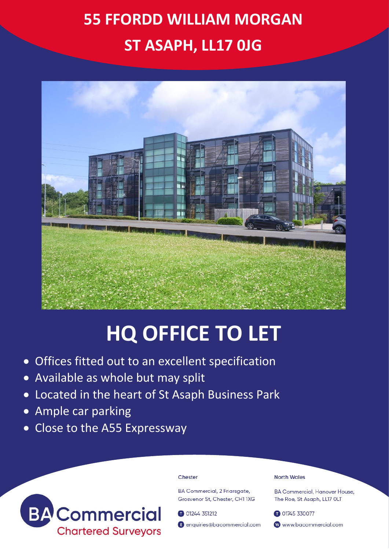## **55 FFORDD WILLIAM MORGAN ST ASAPH, LL17 0JG**



# **HQ OFFICE TO LET**

- Offices fitted out to an excellent specification
- Available as whole but may split
- Located in the heart of St Asaph Business Park
- Ample car parking
- Close to the A55 Expressway



#### Chester

**BA Commercial, 2 Friarsaate,** Grosvenor St. Chester, CH1 1XG

01244 351212

enquiries@bacommercial.com

### **North Wales**

BA Commercial, Hanover House, The Roe, St Asaph, LL17 OLT

01745 330077 www.bacommercial.com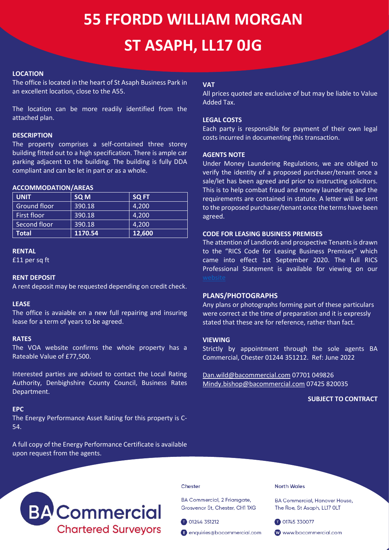## **55 FFORDD WILLIAM MORGAN ST ASAPH, LL17 0JG**

## **LOCATION**

The office is located in the heart of St Asaph Business Park in an excellent location, close to the A55.

The location can be more readily identified from the attached plan.

#### **DESCRIPTION**

The property comprises a self-contained three storey building fitted out to a high specification. There is ample car parking adjacent to the building. The building is fully DDA compliant and can be let in part or as a whole.

#### **ACCOMMODATION/AREAS**

| <b>UNIT</b>  | SQ <sub>M</sub> | <b>SQ FT</b> |
|--------------|-----------------|--------------|
| Ground floor | 390.18          | 4.200        |
| First floor  | 390.18          | 4,200        |
| Second floor | 390.18          | 4.200        |
| Total        | 1170.54         | 12,600       |

#### **RENTAL**

£11 per sq ft

#### **RENT DEPOSIT**

A rent deposit may be requested depending on credit check.

#### **LEASE**

The office is avaiable on a new full repairing and insuring lease for a term of years to be agreed.

#### **RATES**

The VOA website confirms the whole property has a Rateable Value of £77,500.

Interested parties are advised to contact the Local Rating Authority, Denbighshire County Council, Business Rates Department.

#### **EPC**

The Energy Performance Asset Rating for this property is C-54.

A full copy of the Energy Performance Certificate is available upon request from the agents.

## **VAT**

All prices quoted are exclusive of but may be liable to Value Added Tax.

## **LEGAL COSTS**

Each party is responsible for payment of their own legal costs incurred in documenting this transaction.

### **AGENTS NOTE**

Under Money Laundering Regulations, we are obliged to verify the identity of a proposed purchaser/tenant once a sale/let has been agreed and prior to instructing solicitors. This is to help combat fraud and money laundering and the requirements are contained in statute. A letter will be sent to the proposed purchaser/tenant once the terms have been agreed.

### **CODE FOR LEASING BUSINESS PREMISES**

The attention of Landlords and prospective Tenants is drawn to the "RICS Code for Leasing Business Premises" which came into effect 1st September 2020. The full RICS Professional Statement is available for viewing on our

### **PLANS/PHOTOGRAPHS**

Any plans or photographs forming part of these particulars were correct at the time of preparation and it is expressly stated that these are for reference, rather than fact.

## **VIEWING**

Strictly by appointment through the sole agents BA Commercial, Chester 01244 351212. Ref: June 2022

[Dan.wild@bacommercial.com](mailto:Dan.wild@bacommercial.com) 07701 049826 [Mindy.bishop@bacommercial.com](mailto:Mindy.bishop@bacommercial.com) 07425 820035

### **SUBJECT TO CONTRACT**



#### Chester

BA Commercial, 2 Friarsgate, Grosvenor St, Chester, CH1 1XG

01244 351212

enquiries@bacommercial.com

**North Wales** 

**BA Commercial, Hanover House,** The Roe, St Asaph, LL17 OLT

01745 330077

www.bacommercial.com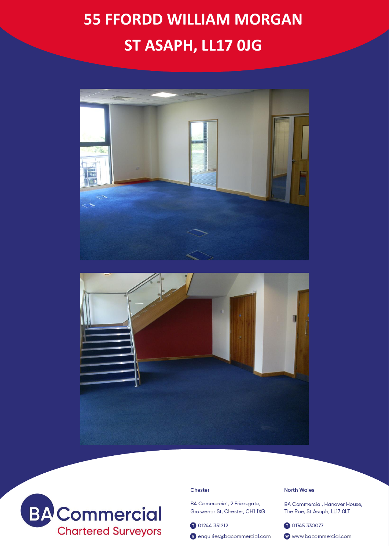## **55 FFORDD WILLIAM MORGAN** ST ASAPH, LL17 OJG







### Chester

BA Commercial, 2 Friarsgate, Grosvenor St, Chester, CH1 1XG

01244 351212

enquiries@bacommercial.com

#### **North Wales**

**BA Commercial, Hanover House,** The Roe, St Asaph, LL17 OLT

01745 330077

www.bacommercial.com